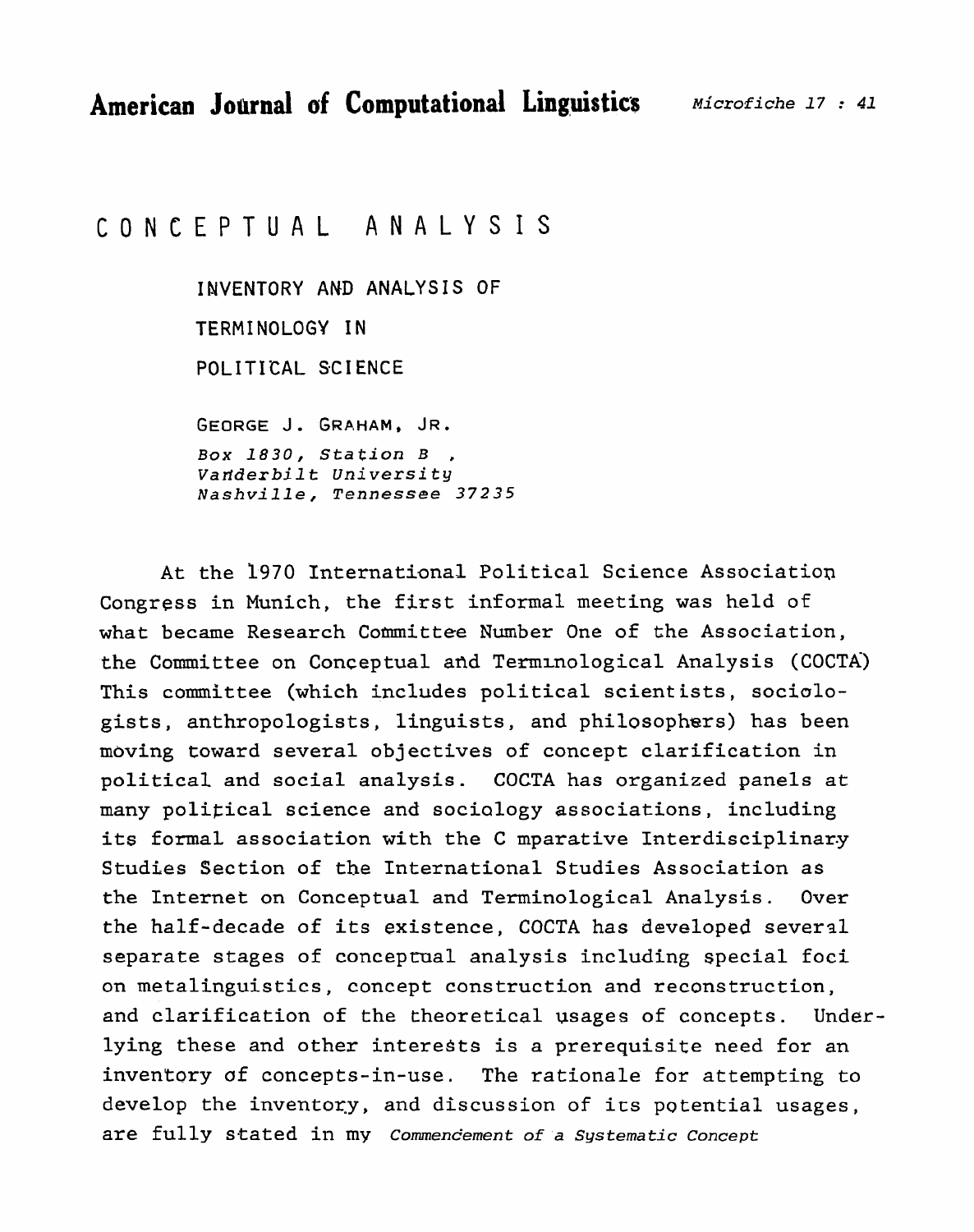# CONCEPTUAL ANALYSIS

**INVENTORY AND ANALYSIS OF**  TERMINOLOGY **IN POLITICAL SCI ENCE Box 1830,** *Station* **B** ,

*Varlderbil t* **University**  *Nashville, Tennessee 37235* 

At the 1970 International Political Science Association Congress in Munich, the first informal meeting was held of what became Research Committee Number One of the Association, the Committee on Conceptual and Terminological Analysis (COCTA) **This committee (which includes** political scient ists, sociologists, anthropologists, linguists, and philosophers) has been moving toward several objectives of concept clarification in political and social analysis. COCTA has organized panels at many political science and sociology associations, including its formal, association **with** the C **mparative** Interdisciplinary Studies Section of **the** International Studies Association as the **Internet on** Conceptual **and** Terminological Analysis. **Over**  the half-decade **of its existence, COCTA has developed sever31**  separate stages of conceptual analysis including special foci on metalinguistics, concept construction and reconstruction, and clarification of **the** theoretical usages of concepts. Underlying these and other interests is a prerequisite need for an inventory of concepts-in-use. The rationale for attempting to develop the inventory, and discussion of its potential usages, are **fully** stated **in my** Commencement **of a** *Systematic Concept*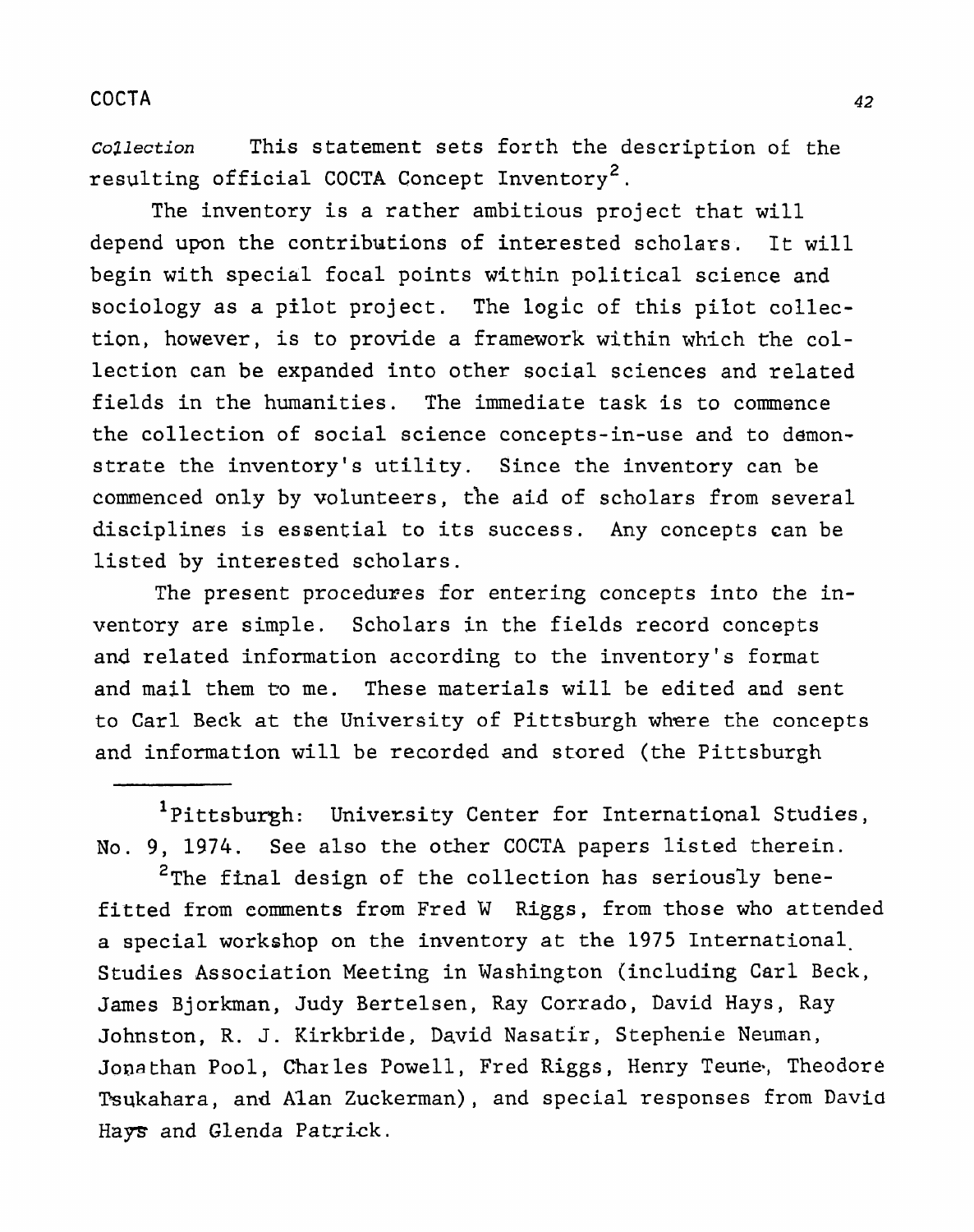**Cozlection This statement sets** forth **the description** of the resulting official COCTA Concept Inventory<sup>2</sup>.

The inventory is a rather ambitious project that will depend upon the contributions of interested scholars. It will begin with special focal points within political science and sociology as a pilot project. The logic of this pilot collection, however, is to provide a framework within which the collection can be expanded into other social sciences and related fields in the humanities. The immediate task is to commence **the collection** of social science concepts-in-use and to demonstrate the **inventory's** utility. Since the inventory can be commenced only by volunteers, the aid of scholars **from** several disciplines is essential to its success. Any concepts can be listed by interested scholars.

**The present proceduxes for** entering **concepts into** the **in**ventory are simple. **Scholars** in **the fields** record concepts and related information according to the inventory's format and mail them to me. These materials will be edited and sent **to Carl Beck at** the University **of** Pittsburgh **where the** concepts and information will be recorded and stored **(the** Pittsburgh

<sup>1</sup>Pittsburgh: University Center for International Studies, No. 9, 1974. **See** also the **other** COCTA **papers** listed therein.

<sup>2</sup>The final design of the collection has seriously benefitted from comments **from Fred W Riggs, from those who attended a special workshop on** the inventory at the 1975 International. Studies Association Meeting in Washington (including Carl Beck, James Bjorkman, Judy Bertelsen, Ray Corrado, David Hays, Ray Johnston, R. J. Kirkbride, David Nasatir, Stephenie Neuman, **Jona** than **Pool,** Char **les Powell,** Fred **Riggs** , Henry Teurie, Theodore Tsukahara, and Alan Zuckerman), and special responses from David Hays and **Glenda** Patrick.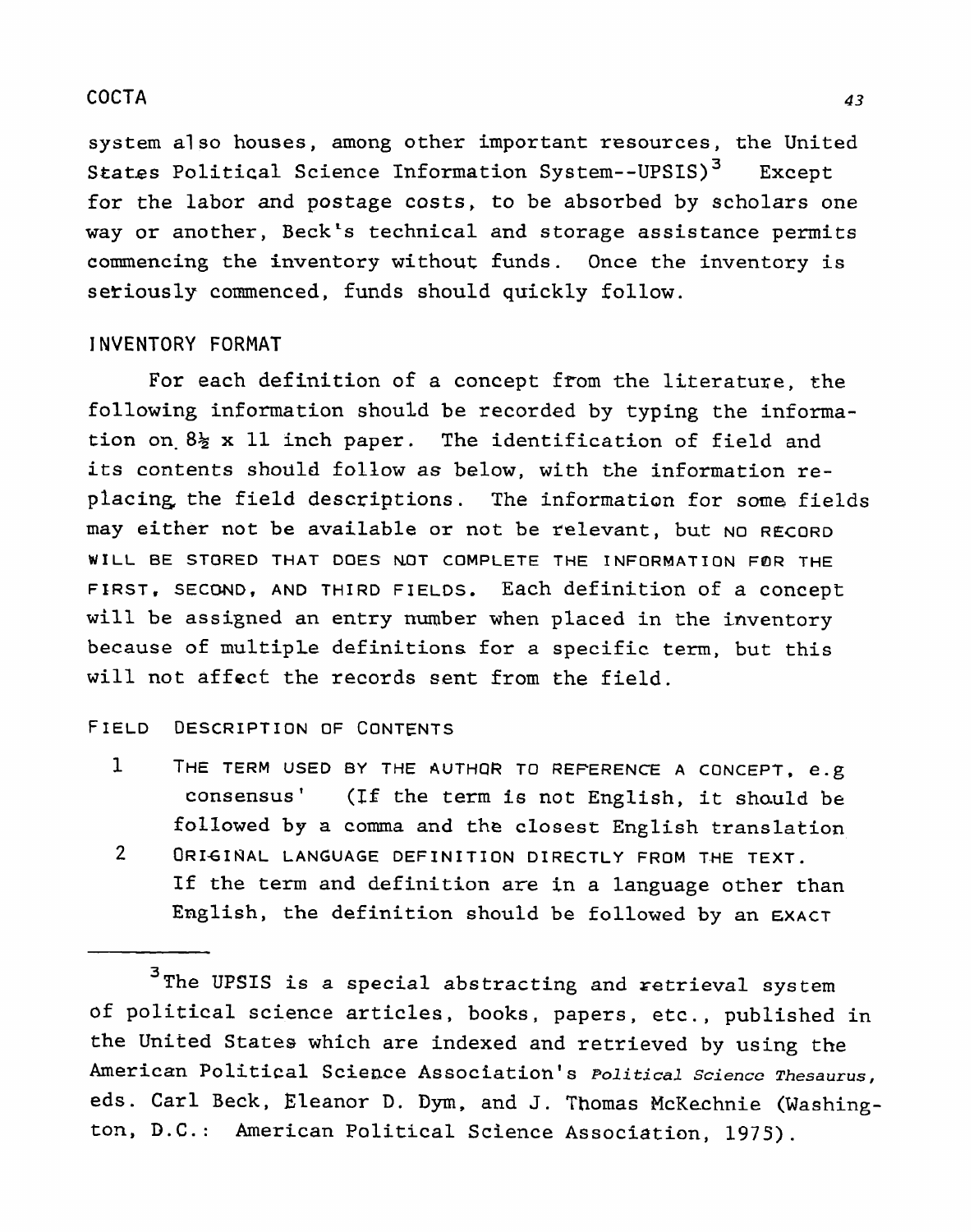**system also houses, among other important resources, the United**  States Political Science Information System--UPSIS)<sup>3</sup> Except **for the labor and postage costs, to be absorbed by scholars one way or another, Beck's technical and storage assistance permits commencing the inventory without funds. Once the inventory is seriously commenced, funds should quickly follow.** 

### **INVENTORY FORMAT**

**For each definition of a concept** from **the literature, the following information should be recorded by typing the information on- 8% x 11 inch paper. The identification of field and its contents should follow as below, with the information replacing the field descriptions. The information for** some **fields may either not be available or not be relevant, but** NO **RECORD WILL BE STORED THAT DOES NOT COMPLETE THE INFORMATION F8R THE FIRST. SEC~D, AND THIRD FIELDS.** Each **definition of a concept will be assigned an** entry number **when placed in the inventory because of multiple definitions for a specific term, but this will not affect the** records **sent from** the field.

#### **FIELD DESCRIPTION OF CONTENTS**

**1 THE TERM USED BY THE AUTHQR TO REFERENCE A CONCEPT, e.g consensus' (IE** the **term is not English, it shauld be followed by a** coma **and the closest English translation 2 ORIGINAL LANGUAGE DEFINITION DIRECTLY FROM THE TEXT. If** the **term and definition** are **in a language other than English, the definition should be followed by an EXACT** 

**<sup>3~</sup>he UPSIS is a special abstracting and retrieval system of political science articles, books, papers, etc., published in the United** States **which** are indexed **and** retrieved by **using** the **American Political Science Association's Political science Thesaurus, eds.** Carl Beck, **Eleanor D. Dym, and** 3. **Thomas** McKechnie **(Washington, D.C.: American Political Science Association, 1975).**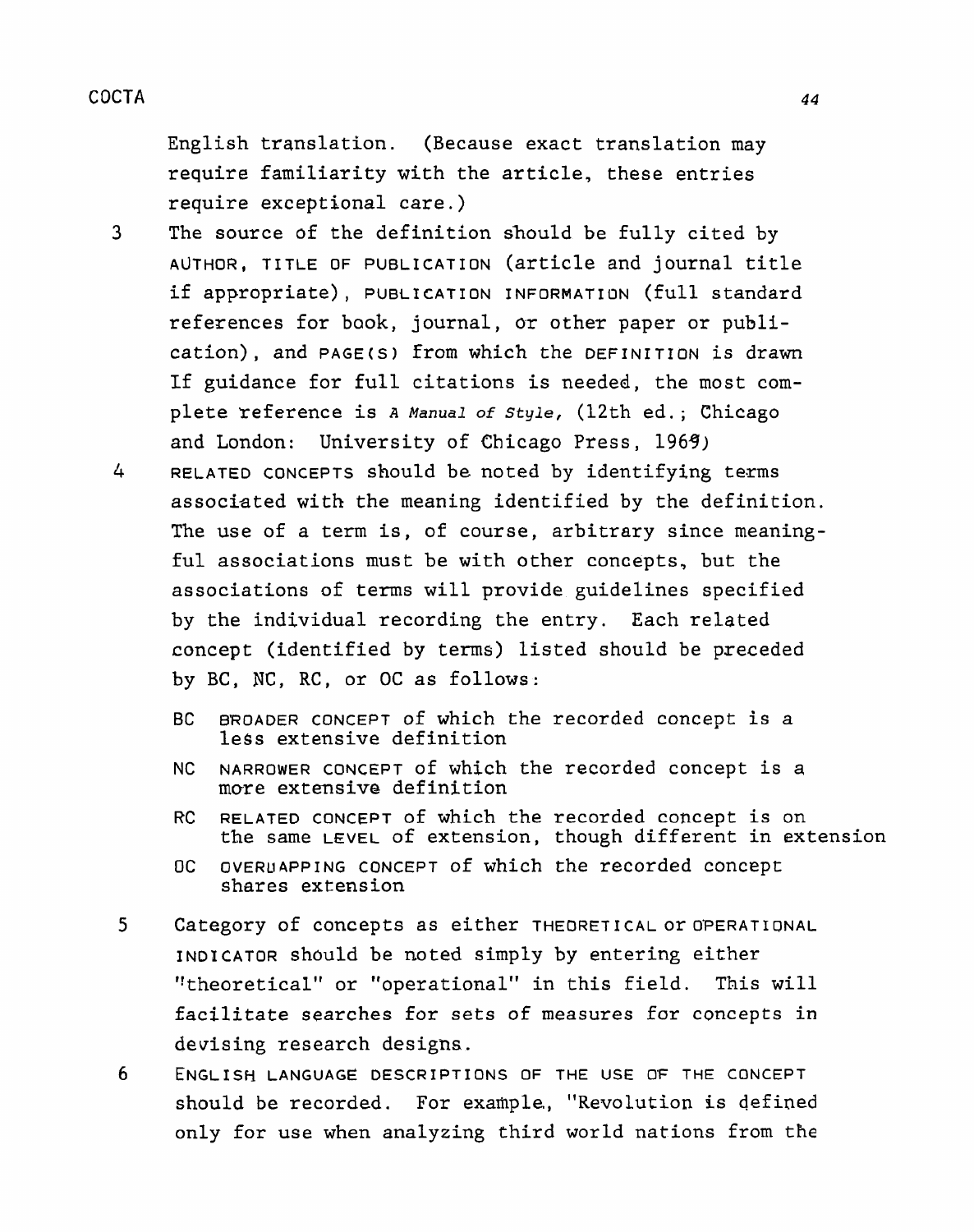English translation. (Because **exact** translation **may require familiarity** with the article, these entries require exceptional care.)

- **3** The source of the definition should be fully cited by **AUTHOR, TITLE OF PUBLICATION (article and** journal title if appropriate), **PUBLICATION INFORMATION** (full standard references for **book,** journal, **or** other paper or publication), and **PAGE(S)** from **which** the **DEFINITION is** drawn If guidance for full citations is needed, the most complete **reference** is **A Manual** of Style, (12th ed. ; **Chicago**  and London: University of Chicago Press, 1969)
- **4 RELATED CONCEPTS** should be noted by identifying terms associated with **the meaning** identified **by the definition.**  The use of a term is, of course, arbitrary since meaning**ful** associations must be **with** other concepts, **but** the associations **of** terms will provide guidelines specified by the individual recording **the entry.** Each related concept (identified by terms) listed should be preceded by BC, **NC,** RC, or OC as follows:
	- BC **BROADER CONCEPT of which the recorded concept is a**  less extensive definition
	- **NC NARROWER COWCEPT** of which **the** recorded concept is a **more** extensive definition
	- RC **RELATED** CONCEPT **of** which the recorded **concept** is **on**  the same LEVEL of **extension,** though **different in extension**
	- **OC OVERUAPPING** CONCEPT of **which the** recorded **concept**  shares extension
- 5 Category of concepts as either **THEORETICAL** or **OPERATIONAL INDICATOR** should **be** noted **simply** by entering **either**  "theoretical" or "operational" in this field. This will **facilitate searches for sets of measures far concepts in**  devising research designs.
- **6 ENGLISH LANGUAGE DESCRIPTIONS OF THE USE** O'F **THE CQNCEPT**  should be recorded. For example., "Revolution is defined **only for** use **when** analyzing third world nations from the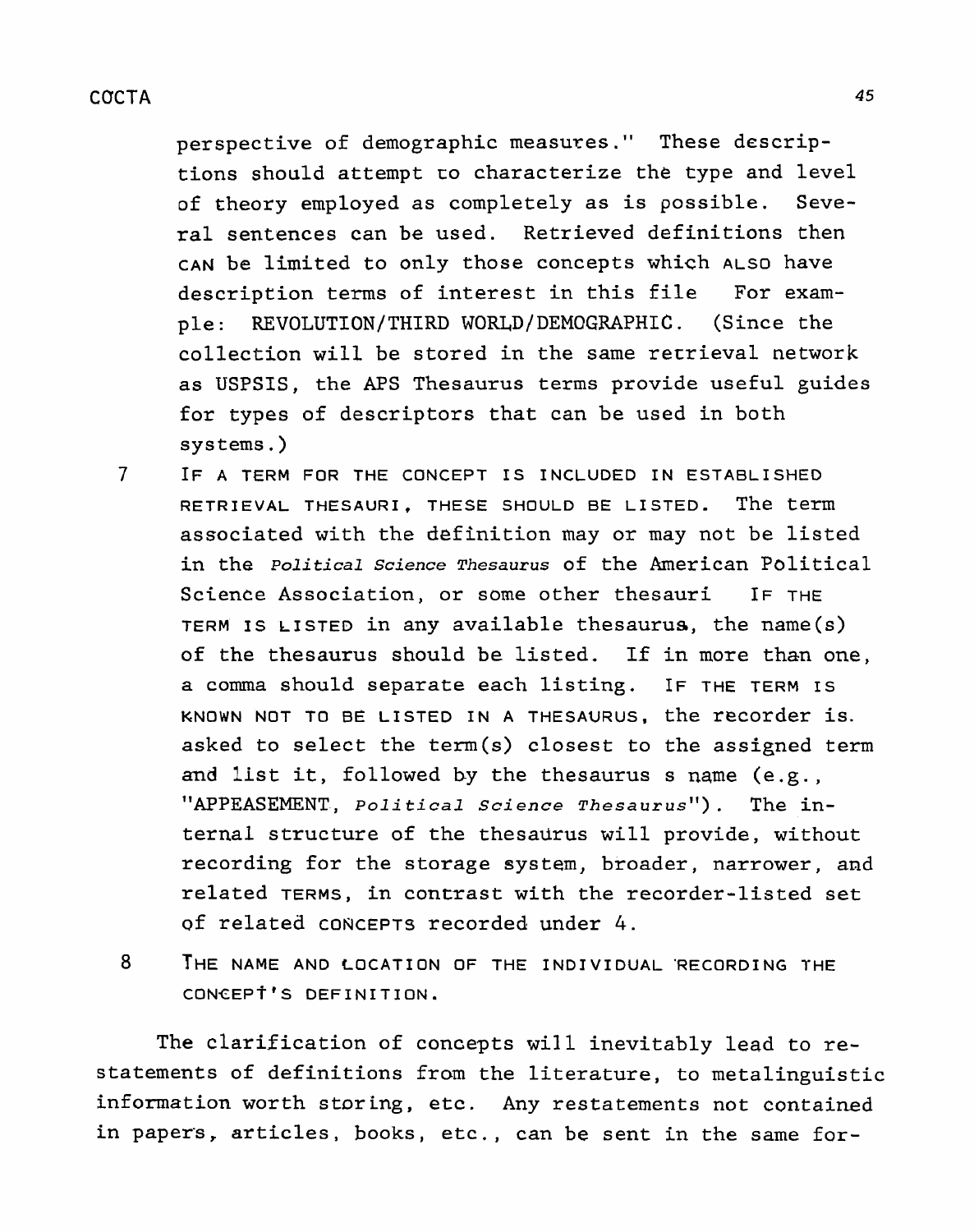perspective of demographic measures. " These descriptions should attempt **LO** characterize the type and level of theory employed as completely as is possible. Several sentences can be used. Retrieved definitions then **CAN** be limited to only those concepts which **ALSO** have description terms of interest in this file For example: REVOLUTION/THIRD WORLD/DEMOGRAPHIC. (Since the collection will be stored in the same retrieval network as **USPSIS,** the **APS** Thesaurus terms provide useful guides for types of descriptors that can be used in both systems .)

- 7 **IF A TERM FOR THE CONCEPT IS INCLUDED IN ESTABLISHED RETRIEVAL THESAURI, THESE** SHOULD BE LISTED. The term associated with the definition may or may not be listed in the Political Science Thesaurus of the American Political Science Association, or some other thesauri IF THE TERM IS LISTED in any available thesaurus, the name(s) of the thesaurus should be listed, If in more than one, a coma should separate each listing. IF THE **TERM IS KNOWN NOT TO BE LISTED IN A THESAURUS,** the recorder is. asked to select the term(s) closest to the assigned term and list it, followed by the thesaurus s name (e **.g.** , **"APPEASEMENT,** *political* Science *~hesaurus")* . The internal structure of the thesaurus will provide, without recording for the storage system, broader, narrower, and related TERMS, in contrast with the recorder-listed set of related **CONCEPTS** recorded under 4.
- **8 THE NAME AND LOCATION OF THE INDIVIDUAL 'RECORDING THE CONCEP~'S DEFINITION.**

The clarification of concepts will inevitably lead to restatements of definitions from the literature, to metalinguistic information worth storing, etc. Any restatements not contained in **papers,** articles, books, etc., can be sent in the same for-